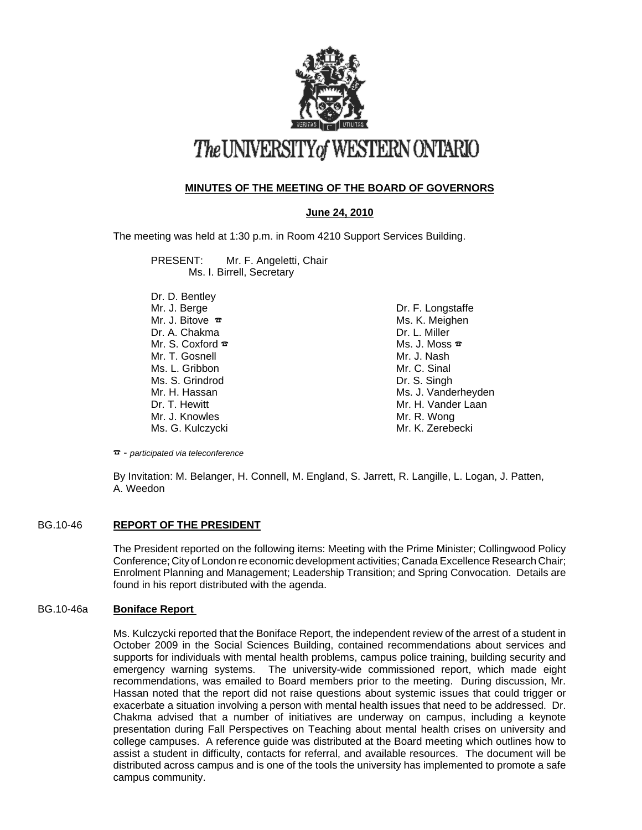

# The UNIVERSITY of WESTERN ONTARIO

# **MINUTES OF THE MEETING OF THE BOARD OF GOVERNORS**

# **June 24, 2010**

The meeting was held at 1:30 p.m. in Room 4210 Support Services Building.

PRESENT: Mr. F. Angeletti, Chair Ms. I. Birrell, Secretary

Dr. D. Bentley Mr. J. Berge Mr. J. Bitove  $\bar{x}$  Dr. A. Chakma Mr. S. Coxford  $\bar{x}$ Mr. T. Gosnell Ms. L. Gribbon Ms. S. Grindrod Mr. H. Hassan Dr. T. Hewitt Mr. J. Knowles Ms. G. Kulczycki

Dr. F. Longstaffe Ms. K. Meighen Dr. L. Miller Ms. J. Moss  $\bar{x}$ Mr. J. Nash Mr. C. Sinal Dr. S. Singh Ms. J. Vanderheyden Mr. H. Vander Laan Mr. R. Wong Mr. K. Zerebecki

F - *participated via teleconference*

By Invitation: M. Belanger, H. Connell, M. England, S. Jarrett, R. Langille, L. Logan, J. Patten, A. Weedon

# BG.10-46 **REPORT OF THE PRESIDENT**

The President reported on the following items: Meeting with the Prime Minister; Collingwood Policy Conference; City of London re economic development activities; Canada Excellence Research Chair; Enrolment Planning and Management; Leadership Transition; and Spring Convocation. Details are found in his report distributed with the agenda.

## BG.10-46a **Boniface Report**

Ms. Kulczycki reported that the Boniface Report, the independent review of the arrest of a student in October 2009 in the Social Sciences Building, contained recommendations about services and supports for individuals with mental health problems, campus police training, building security and emergency warning systems. The university-wide commissioned report, which made eight recommendations, was emailed to Board members prior to the meeting. During discussion, Mr. Hassan noted that the report did not raise questions about systemic issues that could trigger or exacerbate a situation involving a person with mental health issues that need to be addressed. Dr. Chakma advised that a number of initiatives are underway on campus, including a keynote presentation during Fall Perspectives on Teaching about mental health crises on university and college campuses. A reference guide was distributed at the Board meeting which outlines how to assist a student in difficulty, contacts for referral, and available resources. The document will be distributed across campus and is one of the tools the university has implemented to promote a safe campus community.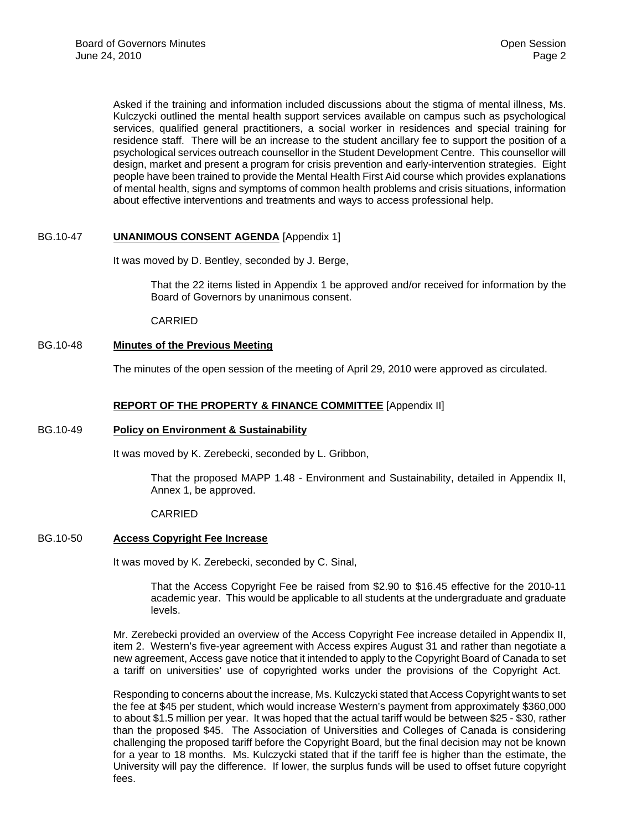Asked if the training and information included discussions about the stigma of mental illness, Ms. Kulczycki outlined the mental health support services available on campus such as psychological services, qualified general practitioners, a social worker in residences and special training for residence staff. There will be an increase to the student ancillary fee to support the position of a psychological services outreach counsellor in the Student Development Centre. This counsellor will design, market and present a program for crisis prevention and early-intervention strategies. Eight people have been trained to provide the Mental Health First Aid course which provides explanations of mental health, signs and symptoms of common health problems and crisis situations, information about effective interventions and treatments and ways to access professional help.

# BG.10-47 **UNANIMOUS CONSENT AGENDA** [Appendix 1]

It was moved by D. Bentley, seconded by J. Berge,

That the 22 items listed in Appendix 1 be approved and/or received for information by the Board of Governors by unanimous consent.

CARRIED

## BG.10-48 **Minutes of the Previous Meeting**

The minutes of the open session of the meeting of April 29, 2010 were approved as circulated.

#### **REPORT OF THE PROPERTY & FINANCE COMMITTEE** [Appendix II]

#### BG.10-49 **Policy on Environment & Sustainability**

It was moved by K. Zerebecki, seconded by L. Gribbon,

That the proposed MAPP 1.48 - Environment and Sustainability, detailed in Appendix II, Annex 1, be approved.

CARRIED

## BG.10-50 **Access Copyright Fee Increase**

It was moved by K. Zerebecki, seconded by C. Sinal,

That the Access Copyright Fee be raised from \$2.90 to \$16.45 effective for the 2010-11 academic year. This would be applicable to all students at the undergraduate and graduate levels.

Mr. Zerebecki provided an overview of the Access Copyright Fee increase detailed in Appendix II, item 2. Western's five-year agreement with Access expires August 31 and rather than negotiate a new agreement, Access gave notice that it intended to apply to the Copyright Board of Canada to set a tariff on universities' use of copyrighted works under the provisions of the Copyright Act.

Responding to concerns about the increase, Ms. Kulczycki stated that Access Copyright wants to set the fee at \$45 per student, which would increase Western's payment from approximately \$360,000 to about \$1.5 million per year. It was hoped that the actual tariff would be between \$25 - \$30, rather than the proposed \$45. The Association of Universities and Colleges of Canada is considering challenging the proposed tariff before the Copyright Board, but the final decision may not be known for a year to 18 months. Ms. Kulczycki stated that if the tariff fee is higher than the estimate, the University will pay the difference. If lower, the surplus funds will be used to offset future copyright fees.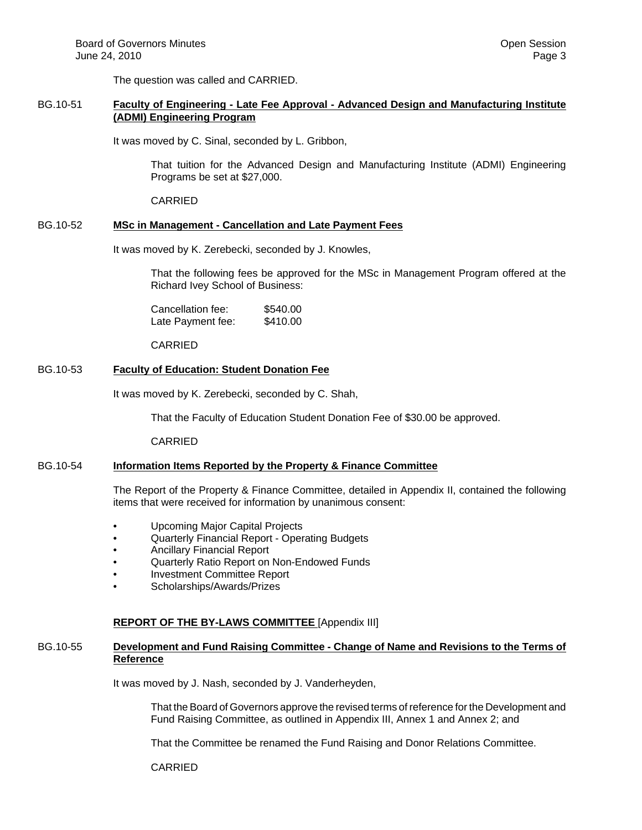The question was called and CARRIED.

## BG.10-51 **Faculty of Engineering - Late Fee Approval - Advanced Design and Manufacturing Institute (ADMI) Engineering Program**

It was moved by C. Sinal, seconded by L. Gribbon,

That tuition for the Advanced Design and Manufacturing Institute (ADMI) Engineering Programs be set at \$27,000.

CARRIED

# BG.10-52 **MSc in Management - Cancellation and Late Payment Fees**

It was moved by K. Zerebecki, seconded by J. Knowles,

That the following fees be approved for the MSc in Management Program offered at the Richard Ivey School of Business:

| Cancellation fee: | \$540.00 |
|-------------------|----------|
| Late Payment fee: | \$410.00 |

CARRIED

# BG.10-53 **Faculty of Education: Student Donation Fee**

It was moved by K. Zerebecki, seconded by C. Shah,

That the Faculty of Education Student Donation Fee of \$30.00 be approved.

CARRIED

# BG.10-54 **Information Items Reported by the Property & Finance Committee**

The Report of the Property & Finance Committee, detailed in Appendix II, contained the following items that were received for information by unanimous consent:

- Upcoming Major Capital Projects
- Quarterly Financial Report Operating Budgets
- Ancillary Financial Report
- Quarterly Ratio Report on Non-Endowed Funds
- Investment Committee Report
- Scholarships/Awards/Prizes

## **REPORT OF THE BY-LAWS COMMITTEE** [Appendix III]

## BG.10-55 **Development and Fund Raising Committee - Change of Name and Revisions to the Terms of Reference**

It was moved by J. Nash, seconded by J. Vanderheyden,

That the Board of Governors approve the revised terms of reference for the Development and Fund Raising Committee, as outlined in Appendix III, Annex 1 and Annex 2; and

That the Committee be renamed the Fund Raising and Donor Relations Committee.

CARRIED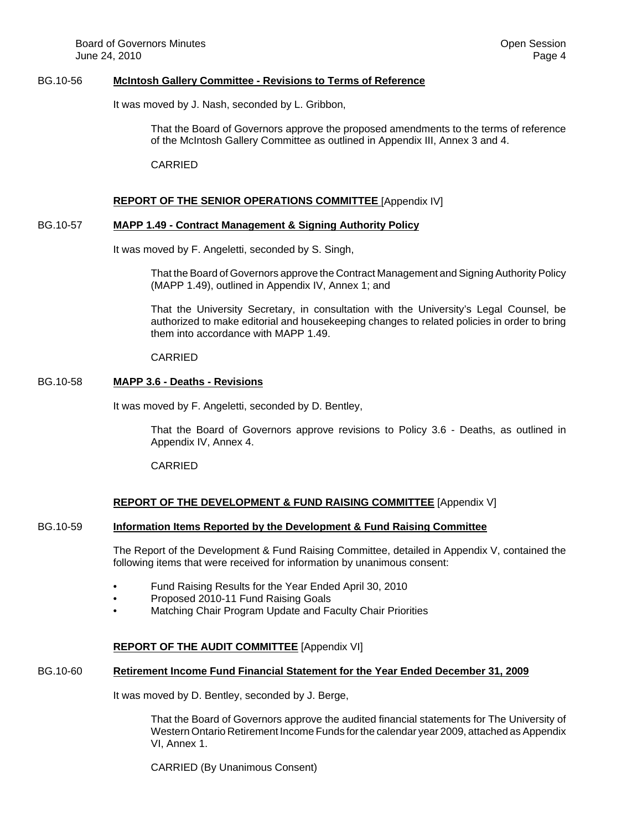#### BG.10-56 **McIntosh Gallery Committee - Revisions to Terms of Reference**

It was moved by J. Nash, seconded by L. Gribbon,

That the Board of Governors approve the proposed amendments to the terms of reference of the McIntosh Gallery Committee as outlined in Appendix III, Annex 3 and 4.

CARRIED

#### **REPORT OF THE SENIOR OPERATIONS COMMITTEE** [Appendix IV]

#### BG.10-57 **MAPP 1.49 - Contract Management & Signing Authority Policy**

It was moved by F. Angeletti, seconded by S. Singh,

That the Board of Governors approve the Contract Management and Signing Authority Policy (MAPP 1.49), outlined in Appendix IV, Annex 1; and

That the University Secretary, in consultation with the University's Legal Counsel, be authorized to make editorial and housekeeping changes to related policies in order to bring them into accordance with MAPP 1.49.

#### CARRIED

#### BG.10-58 **MAPP 3.6 - Deaths - Revisions**

It was moved by F. Angeletti, seconded by D. Bentley,

That the Board of Governors approve revisions to Policy 3.6 - Deaths, as outlined in Appendix IV, Annex 4.

CARRIED

## **REPORT OF THE DEVELOPMENT & FUND RAISING COMMITTEE** [Appendix V]

#### BG.10-59 **Information Items Reported by the Development & Fund Raising Committee**

The Report of the Development & Fund Raising Committee, detailed in Appendix V, contained the following items that were received for information by unanimous consent:

- Fund Raising Results for the Year Ended April 30, 2010
- Proposed 2010-11 Fund Raising Goals
- Matching Chair Program Update and Faculty Chair Priorities

## **REPORT OF THE AUDIT COMMITTEE** [Appendix VI]

## BG.10-60 **Retirement Income Fund Financial Statement for the Year Ended December 31, 2009**

It was moved by D. Bentley, seconded by J. Berge,

That the Board of Governors approve the audited financial statements for The University of Western Ontario Retirement Income Funds for the calendar year 2009, attached as Appendix VI, Annex 1.

CARRIED (By Unanimous Consent)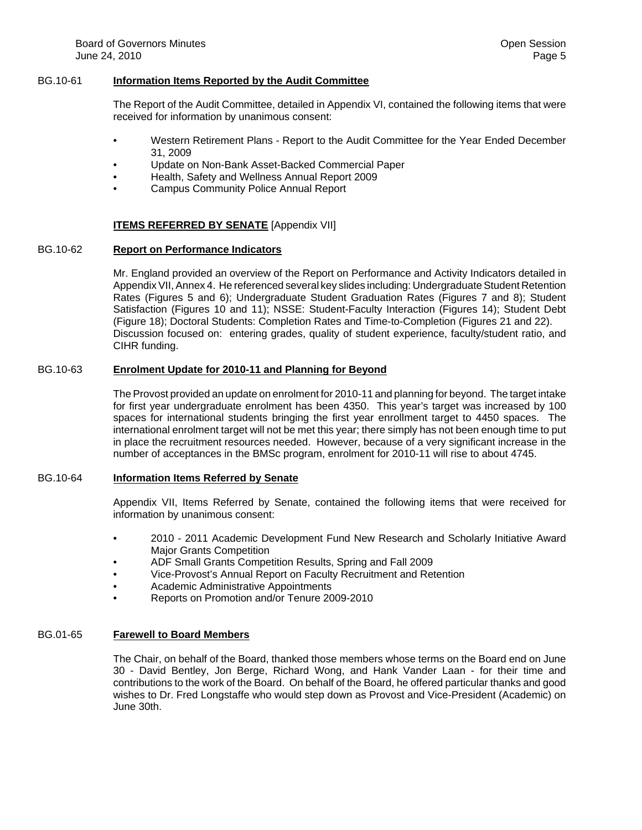#### BG.10-61 **Information Items Reported by the Audit Committee**

The Report of the Audit Committee, detailed in Appendix VI, contained the following items that were received for information by unanimous consent:

- Western Retirement Plans Report to the Audit Committee for the Year Ended December 31, 2009
- Update on Non-Bank Asset-Backed Commercial Paper
- Health, Safety and Wellness Annual Report 2009
- Campus Community Police Annual Report

#### **ITEMS REFERRED BY SENATE** [Appendix VII]

#### BG.10-62 **Report on Performance Indicators**

Mr. England provided an overview of the Report on Performance and Activity Indicators detailed in Appendix VII, Annex 4. He referenced several key slides including: Undergraduate Student Retention Rates (Figures 5 and 6); Undergraduate Student Graduation Rates (Figures 7 and 8); Student Satisfaction (Figures 10 and 11); NSSE: Student-Faculty Interaction (Figures 14); Student Debt (Figure 18); Doctoral Students: Completion Rates and Time-to-Completion (Figures 21 and 22). Discussion focused on: entering grades, quality of student experience, faculty/student ratio, and CIHR funding.

## BG.10-63 **Enrolment Update for 2010-11 and Planning for Beyond**

The Provost provided an update on enrolment for 2010-11 and planning for beyond. The target intake for first year undergraduate enrolment has been 4350. This year's target was increased by 100 spaces for international students bringing the first year enrollment target to 4450 spaces. The international enrolment target will not be met this year; there simply has not been enough time to put in place the recruitment resources needed. However, because of a very significant increase in the number of acceptances in the BMSc program, enrolment for 2010-11 will rise to about 4745.

#### BG.10-64 **Information Items Referred by Senate**

Appendix VII, Items Referred by Senate, contained the following items that were received for information by unanimous consent:

- 2010 2011 Academic Development Fund New Research and Scholarly Initiative Award Major Grants Competition
- ADF Small Grants Competition Results, Spring and Fall 2009
- Vice-Provost's Annual Report on Faculty Recruitment and Retention
- Academic Administrative Appointments
- Reports on Promotion and/or Tenure 2009-2010

#### BG.01-65 **Farewell to Board Members**

The Chair, on behalf of the Board, thanked those members whose terms on the Board end on June 30 - David Bentley, Jon Berge, Richard Wong, and Hank Vander Laan - for their time and contributions to the work of the Board. On behalf of the Board, he offered particular thanks and good wishes to Dr. Fred Longstaffe who would step down as Provost and Vice-President (Academic) on June 30th.